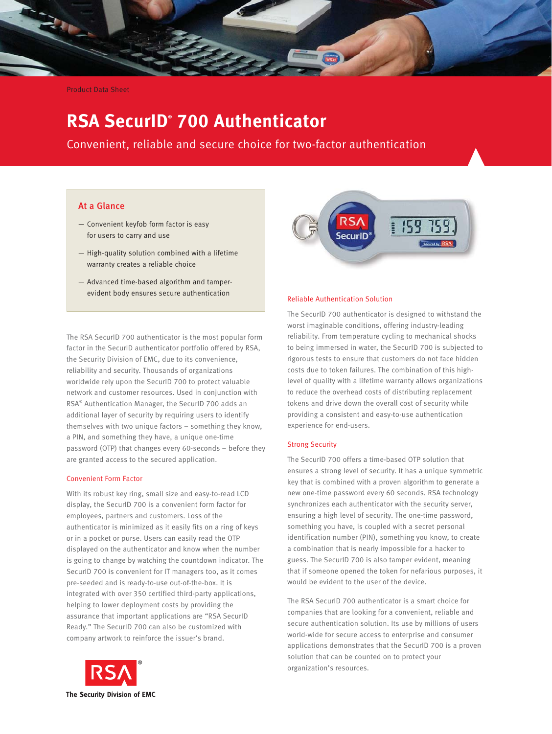

Product Data Sheet

# **RSA SecurID® 700 Authenticator**

Convenient, reliable and secure choice for two-factor authentication

## At a Glance

- Convenient keyfob form factor is easy for users to carry and use
- High-quality solution combined with a lifetime warranty creates a reliable choice
- Advanced time-based algorithm and tamperevident body ensures secure authentication

The RSA SecurID 700 authenticator is the most popular form factor in the SecurID authenticator portfolio offered by RSA, the Security Division of EMC, due to its convenience, reliability and security. Thousands of organizations worldwide rely upon the SecurID 700 to protect valuable network and customer resources. Used in conjunction with RSA® Authentication Manager, the SecurID 700 adds an additional layer of security by requiring users to identify themselves with two unique factors – something they know, a PIN, and something they have, a unique one-time password (OTP) that changes every 60-seconds – before they are granted access to the secured application.

## Convenient Form Factor

With its robust key ring, small size and easy-to-read LCD display, the SecurID 700 is a convenient form factor for employees, partners and customers. Loss of the authenticator is minimized as it easily fits on a ring of keys or in a pocket or purse. Users can easily read the OTP displayed on the authenticator and know when the number is going to change by watching the countdown indicator. The SecurID 700 is convenient for IT managers too, as it comes pre-seeded and is ready-to-use out-of-the-box. It is integrated with over 350 certified third-party applications, helping to lower deployment costs by providing the assurance that important applications are "RSA SecurID Ready." The SecurID 700 can also be customized with company artwork to reinforce the issuer's brand.



#### Reliable Authentication Solution

The SecurID 700 authenticator is designed to withstand the worst imaginable conditions, offering industry-leading reliability. From temperature cycling to mechanical shocks to being immersed in water, the SecurID 700 is subjected to rigorous tests to ensure that customers do not face hidden costs due to token failures. The combination of this highlevel of quality with a lifetime warranty allows organizations to reduce the overhead costs of distributing replacement tokens and drive down the overall cost of security while providing a consistent and easy-to-use authentication experience for end-users.

## Strong Security

The SecurID 700 offers a time-based OTP solution that ensures a strong level of security. It has a unique symmetric key that is combined with a proven algorithm to generate a new one-time password every 60 seconds. RSA technology synchronizes each authenticator with the security server, ensuring a high level of security. The one-time password, something you have, is coupled with a secret personal identification number (PIN), something you know, to create a combination that is nearly impossible for a hacker to guess. The SecurID 700 is also tamper evident, meaning that if someone opened the token for nefarious purposes, it would be evident to the user of the device.

The RSA SecurID 700 authenticator is a smart choice for companies that are looking for a convenient, reliable and secure authentication solution. Its use by millions of users world-wide for secure access to enterprise and consumer applications demonstrates that the SecurID 700 is a proven solution that can be counted on to protect your organization's resources.